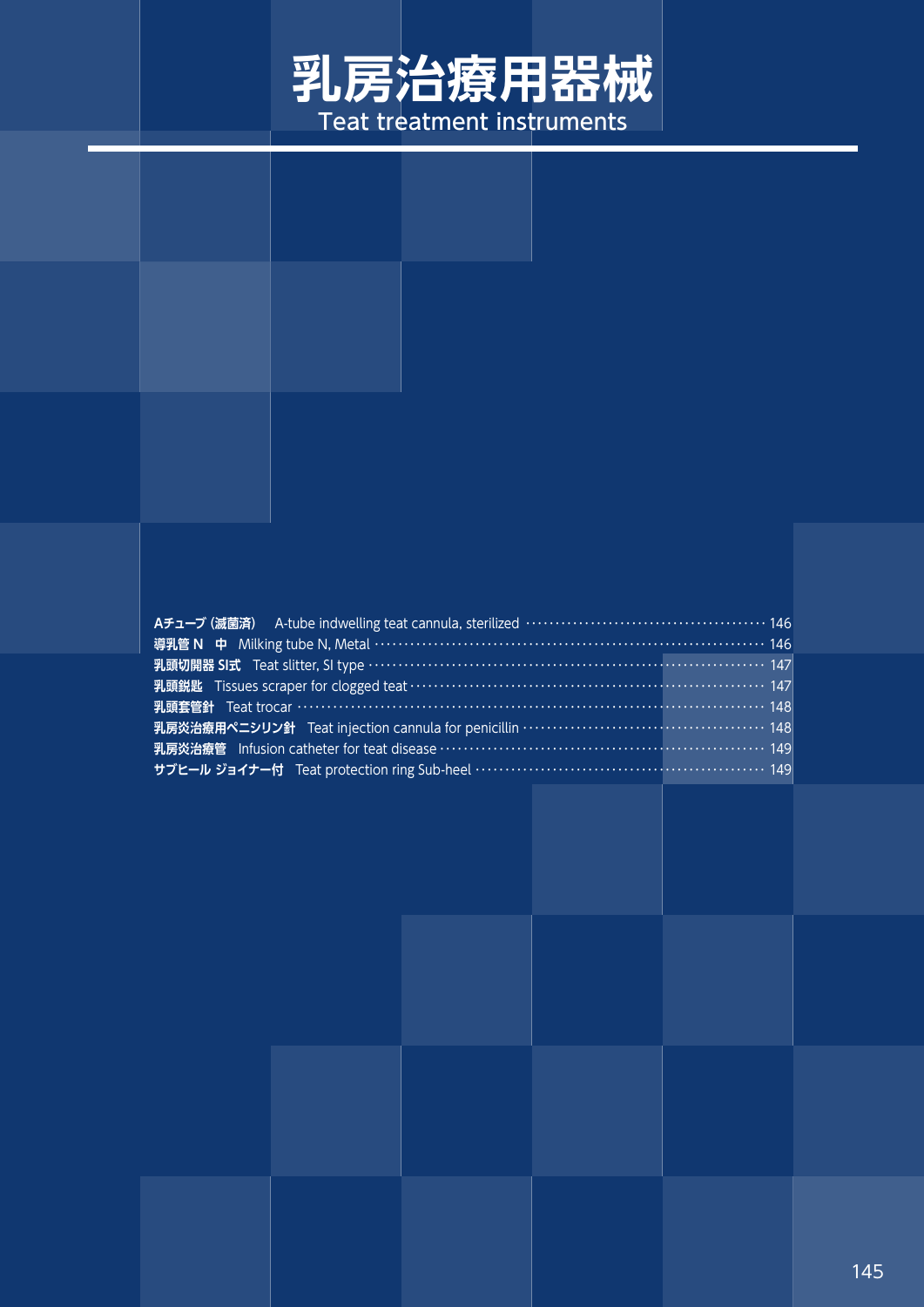# **乳房治療用器械** Teat treatment instruments

#### **Aチューブ(滅菌済)** A-tube indwelling teat cannula, sterilized ・・・・・・・・・・・・・・・・・・・・・・・・・・・・・・・・・・・・・・・・・ 146 **導乳管 N 中** Milking tube N, Metal ……………………………………………………………… 146 **乳頭切開器 SI式** Teat slitter, SI type ・・・・・・・・・・・・・・・・・・・・・・・・・・・・・・・・・・・・・・・・・・・・・・・・・・・・・・・・・・・・・・・・・・・ 147 **乳頭鋭匙** Tissues scraper for clogged teat ・・・・・・・・・・・・・・・・・・・・・・・・・・・・・・・・・・・・・・・・・・・・・・・・・・・・・・・・・・・・ 147 **乳頭套管針** Teat trocar ・・・・・・・・・・・・・・・・・・・・・・・・・・・・・・・・・・・・・・・・・・・・・・・・・・・・・・・・・・・・・・・・・・・・・・・・・・・・・・・ 148 **乳房炎治療用ペニシリン針** Teat injection cannula for penicillin ・・・・・・・・・・・・・・・・・・・・・・・・・・・・・・・・・・・・・・・・・ 148 **乳房炎治療管** Infusion catheter for teat disease ・・・・・・・・・・・・・・・・・・・・・・・・・・・・・・・・・・・・・・・・・・・・・・・・・・・・・・・ 149 **サブヒール ジョイナー付** Teat protection ring Sub-heel ・・・・・・・・・・・・・・・・・・・・・・・・・・・・・・・・・・・・・・・・・・・・・・・・・ 149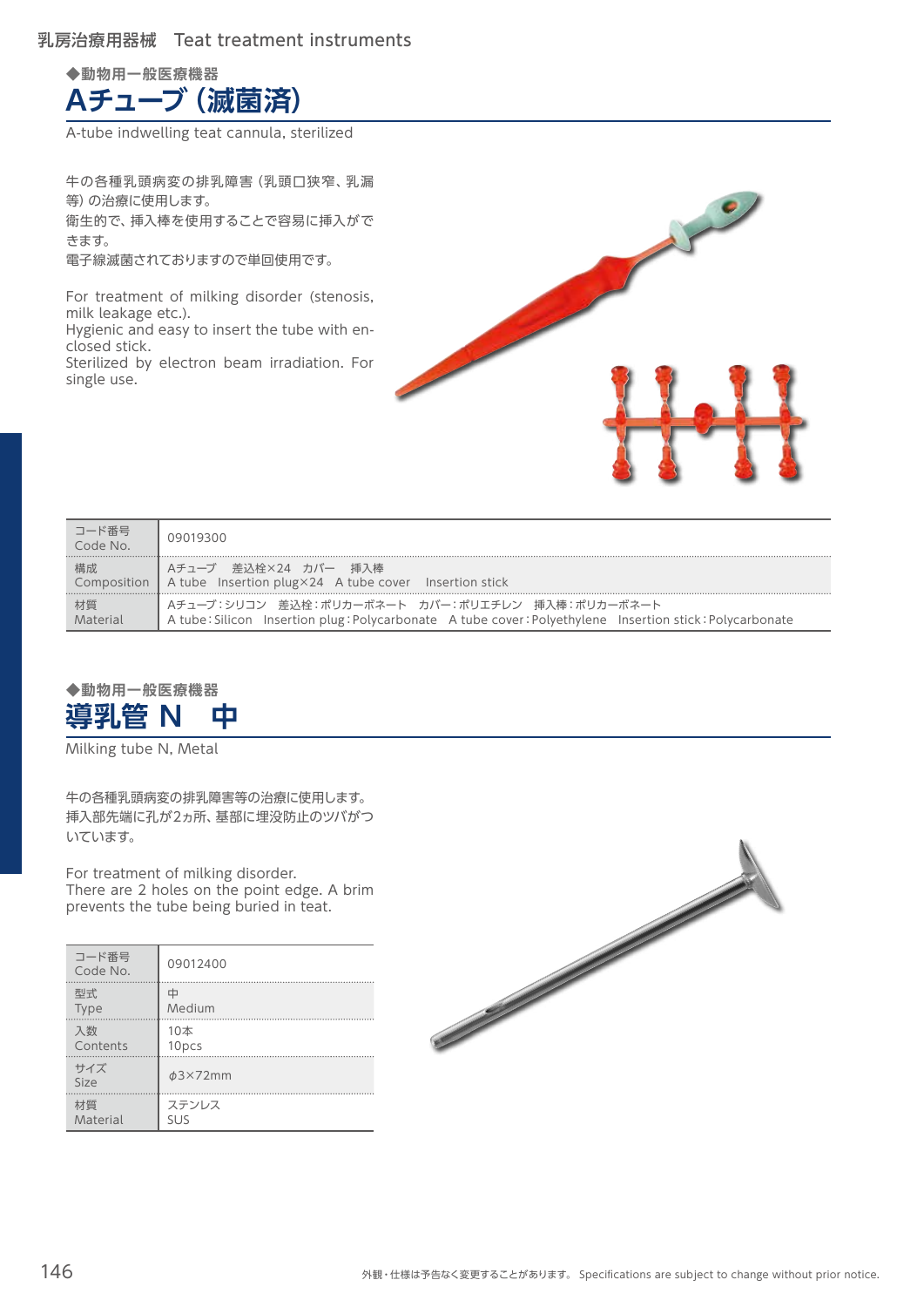### 乳房治療用器械 Teat treatment instruments

**◆動物用一般医療機器 Aチューブ(滅菌済)**

A-tube indwelling teat cannula, sterilized

牛の各種乳頭病変の排乳障害(乳頭口狭窄、乳漏 等)の治療に使用します。 衛生的で、挿入棒を使用することで容易に挿入がで きます。 電子線滅菌されておりますので単回使用です。

For treatment of milking disorder (stenosis, milk leakage etc.). Hygienic and easy to insert the tube with enclosed stick.

Sterilized by electron beam irradiation. For single use.



| コード番号<br>Code No. | 09019300                                                                                                                                                     |
|-------------------|--------------------------------------------------------------------------------------------------------------------------------------------------------------|
| 構成                | ┃ Aチューブ 差込栓×24 カバー 挿入棒<br>Composition   A tube Insertion plug×24 A tube cover Insertion stick                                                                |
| 材質<br>Material    | ┃ Aチューブ:シリコン 差込栓:ポリカーボネート カバー:ポリエチレン 挿入棒:ポリカーボネート<br>A tube: Silicon Insertion plug: Polycarbonate A tube cover: Polyethylene Insertion stick: Polycarbonate |



Milking tube N, Metal

牛の各種乳頭病変の排乳障害等の治療に使用します。 挿入部先端に孔が2ヵ所、基部に埋没防止のツバがつ いています。

For treatment of milking disorder. There are 2 holes on the point edge. A brim prevents the tube being buried in teat.

| コード番号<br>Code No. | 09012400      |
|-------------------|---------------|
| 型式                | ф             |
| <b>Type</b>       | Medium        |
| 入数                | 10本           |
| Contents          | 10pcs         |
| サイズ<br>Size       | $\phi$ 3×72mm |
| 材質                | ステンレス         |
| Material          | <b>SUS</b>    |

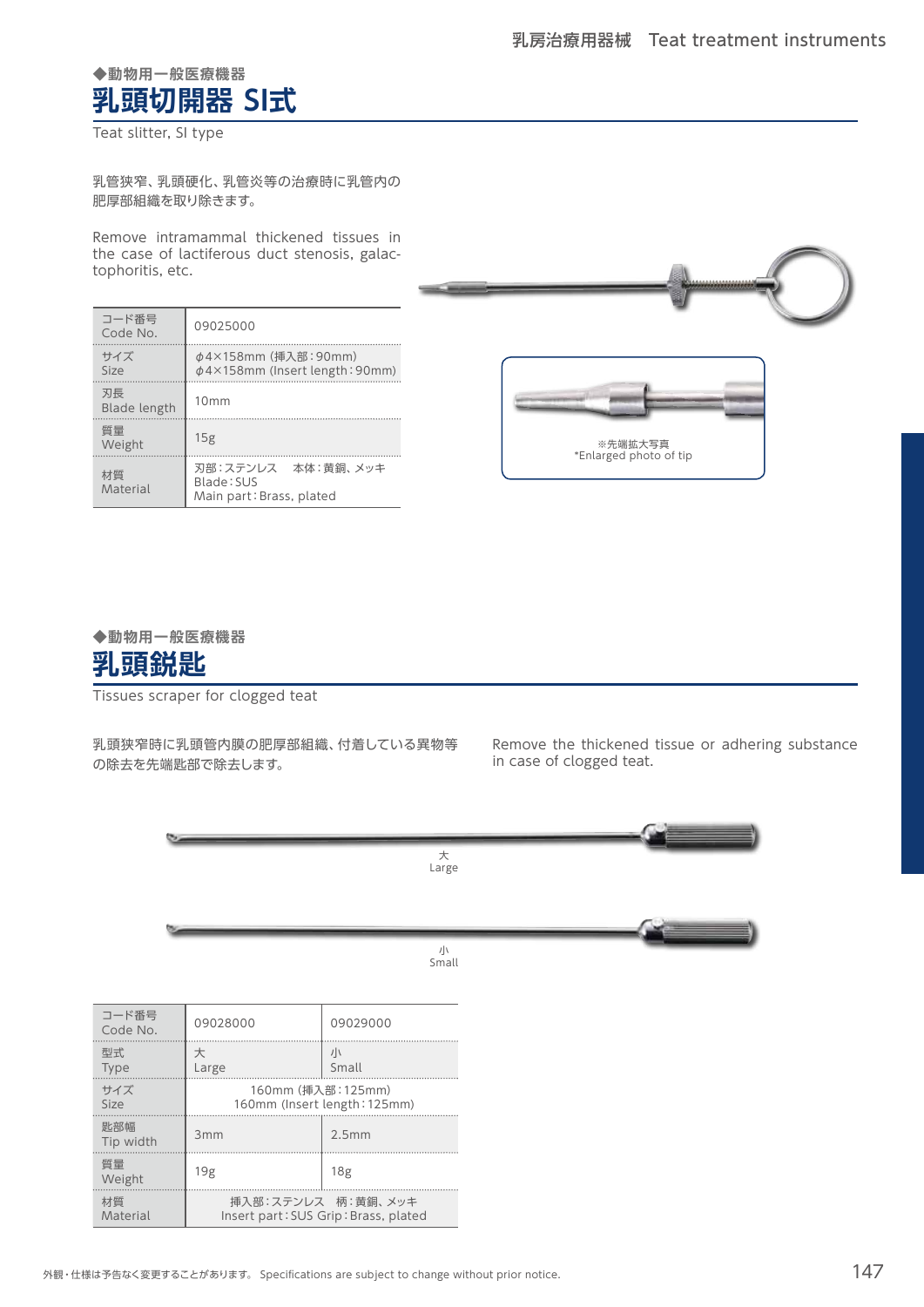## **◆動物用一般医療機器 乳頭切開器 SI式**

Teat slitter, SI type

乳管狭窄、乳頭硬化、乳管炎等の治療時に乳管内の 肥厚部組織を取り除きます。

Remove intramammal thickened tissues in the case of lactiferous duct stenosis, galactophoritis, etc.

| コード番号<br>Code No.  | 09025000                                                     |  |
|--------------------|--------------------------------------------------------------|--|
| サイズ<br>Size        | φ4×158mm (挿入部: 90mm)<br>$\phi$ 4×158mm (Insert length: 90mm) |  |
| 刃長<br>Blade length | 10mm                                                         |  |
| 質量<br>Weight       | 15g                                                          |  |
| 材質<br>Material     | 刃部:ステンレス 本体:黄銅、メッキ<br>Blade: SUS<br>Main part: Brass, plated |  |





#### **◆動物用一般医療機器**



Tissues scraper for clogged teat

乳頭狭窄時に乳頭管内膜の肥厚部組織、付着している異物等 の除去を先端匙部で除去します。

Remove the thickened tissue or adhering substance in case of clogged teat.



| コード番号<br>Code No. | 09028000                             | 09029000        |  |
|-------------------|--------------------------------------|-----------------|--|
| 型式                | 大                                    | 小               |  |
| <b>Type</b>       | Large                                | Small           |  |
| サイズ               | 160mm (挿入部: 125mm)                   |                 |  |
| Size              | 160mm (Insert length: 125mm)         |                 |  |
| 匙部幅<br>Tip width  | 3mm                                  | 2.5mm           |  |
| 暂量<br>Weight      | 19g                                  | 18 <sub>g</sub> |  |
| 材質                | 挿入部:ステンレス 柄:黄銅、メッキ                   |                 |  |
| Material          | Insert part: SUS Grip: Brass, plated |                 |  |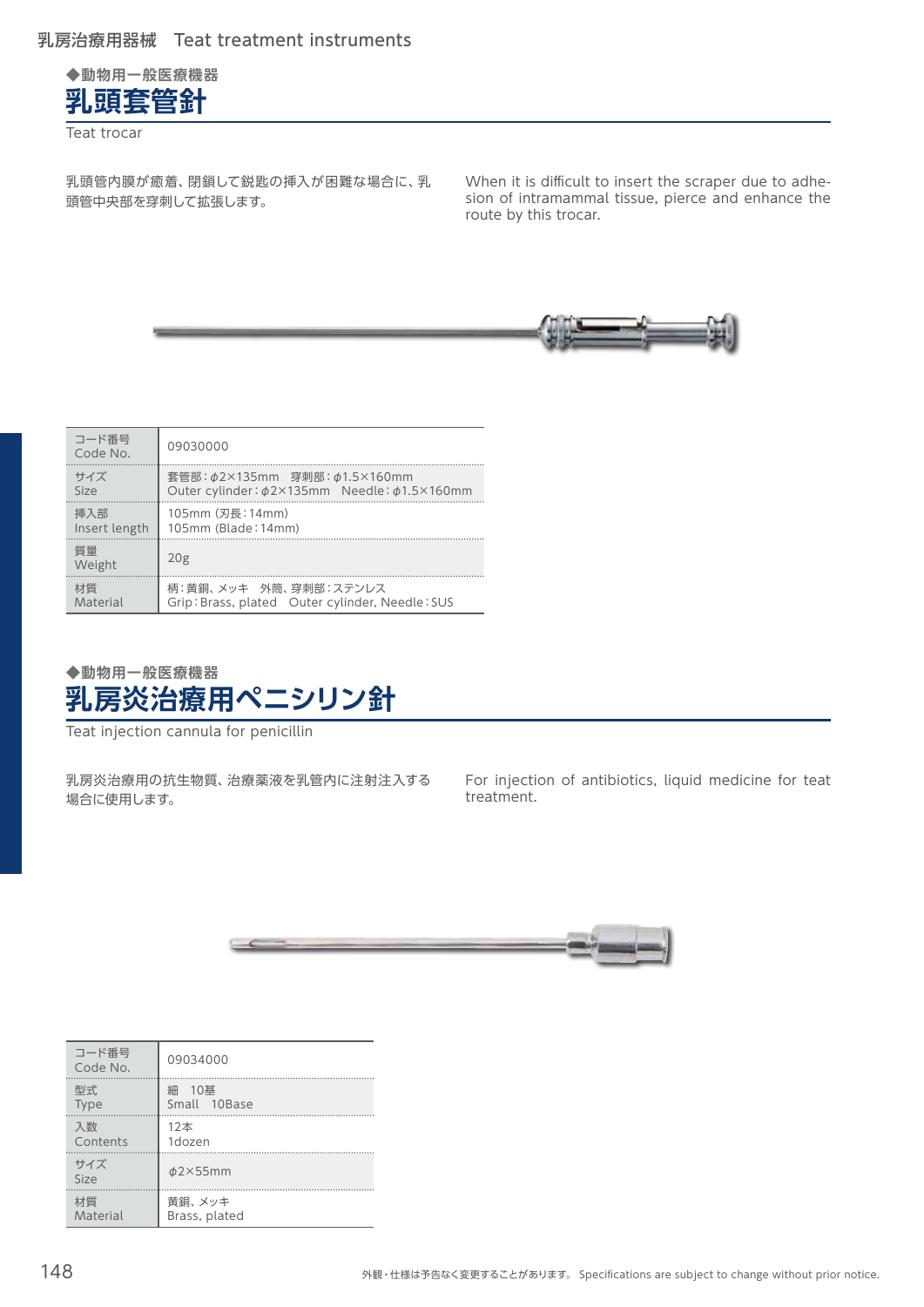

Teat trocar

乳頭管内膜が癒着、閉鎖して鋭匙の挿入が困難な場合に、乳 頭管中央部を穿刺して拡張します。

When it is difficult to insert the scraper due to adhesion of intramammal tissue, pierce and enhance the route by this trocar.



| コード番号<br>Code No. | 09030000                                        |
|-------------------|-------------------------------------------------|
| サイズ               | 套管部:φ2×135mm 穿刺部:φ1.5×160mm                     |
| Size              | Outer cylinder: \$2×135mm Needle: \$1.5×160mm   |
| 挿入部               | 105mm (刃長: 14mm)                                |
| Insert length     | 105mm (Blade: 14mm)                             |
| 質量<br>Weight      | 20 <sub>g</sub>                                 |
| 材質                | 柄:黄銅、メッキ 外筒、穿刺部:ステンレス                           |
| Material          | Grip: Brass, plated Outer cylinder, Needle: SUS |

## **◆動物用一般医療機器 乳房炎治療用ペニシリン針**

Teat injection cannula for penicillin

乳房炎治療用の抗生物質、治療薬液を乳管内に注射注入する 場合に使用します。

For injection of antibiotics, liquid medicine for teat treatment.



| コード番号<br>Code No. | 09034000                 |
|-------------------|--------------------------|
| 型式<br><b>Type</b> | 10基<br>細<br>Small 10Base |
| 入数<br>Contents    | 12本<br>1dozen            |
| サイズ<br>Size       | $\phi$ 2×55mm            |
| 材質<br>Material    | 黄銅、メッキ<br>Brass, plated  |